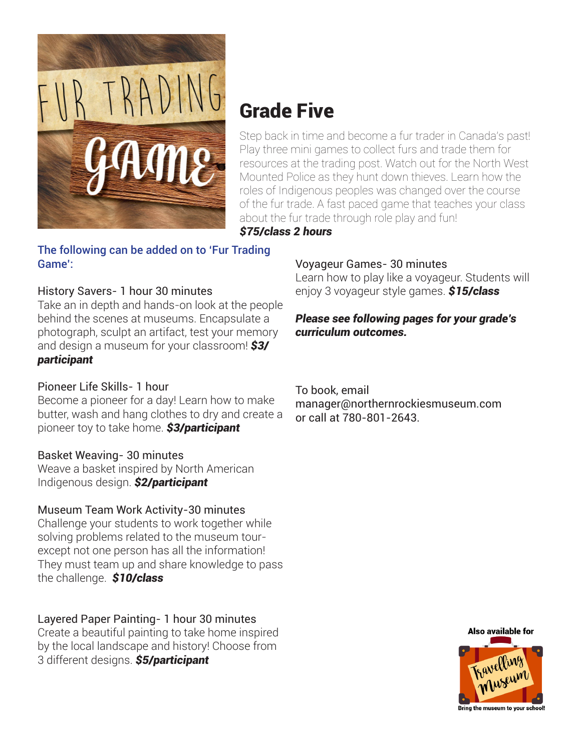

# Grade Five

Step back in time and become a fur trader in Canada's past! Play three mini games to collect furs and trade them for resources at the trading post. Watch out for the North West Mounted Police as they hunt down thieves. Learn how the roles of Indigenous peoples was changed over the course of the fur trade. A fast paced game that teaches your class about the fur trade through role play and fun! *\$75/class 2 hours*

#### The following can be added on to 'Fur Trading Game':

#### History Savers- 1 hour 30 minutes

Take an in depth and hands-on look at the people behind the scenes at museums. Encapsulate a photograph, sculpt an artifact, test your memory and design a museum for your classroom! *\$3/ participant*

#### Pioneer Life Skills- 1 hour

Become a pioneer for a day! Learn how to make butter, wash and hang clothes to dry and create a pioneer toy to take home. *\$3/participant*

#### Basket Weaving- 30 minutes

Weave a basket inspired by North American Indigenous design. *\$2/participant*

#### Museum Team Work Activity-30 minutes

Challenge your students to work together while solving problems related to the museum tourexcept not one person has all the information! They must team up and share knowledge to pass the challenge. *\$10/class*

#### Layered Paper Painting- 1 hour 30 minutes

Create a beautiful painting to take home inspired by the local landscape and history! Choose from 3 different designs. *\$5/participant*

#### Voyageur Games- 30 minutes

Learn how to play like a voyageur. Students will enjoy 3 voyageur style games. *\$15/class*

*Please see following pages for your grade's curriculum outcomes.* 

To book, email manager@northernrockiesmuseum.com or call at 780-801-2643.



Bring the museum to your school!